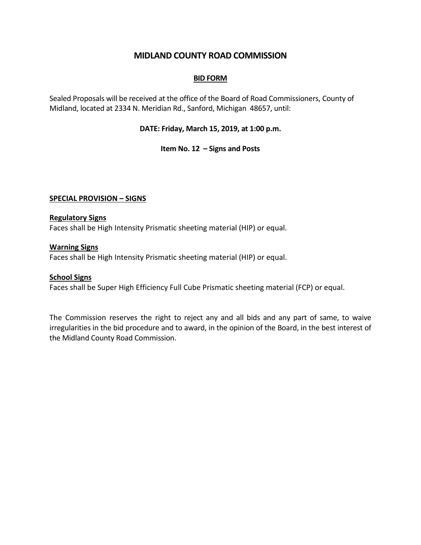# **MIDLAND COUNTY ROAD COMMISSION**

### **BID FORM**

Sealed Proposals will be received at the office of the Board of Road Commissioners, County of Midland, located at 2334 N. Meridian Rd., Sanford, Michigan 48657, until:

## **DATE: Friday, March 15, 2019, at 1:00 p.m.**

#### **Item No. 12 – Signs and Posts**

## **SPECIAL PROVISION – SIGNS**

#### **Regulatory Signs**

Faces shall be High Intensity Prismatic sheeting material (HIP) or equal.

#### **Warning Signs**

Faces shall be High Intensity Prismatic sheeting material (HIP) or equal.

#### **School Signs**

Faces shall be Super High Efficiency Full Cube Prismatic sheeting material (FCP) or equal.

The Commission reserves the right to reject any and all bids and any part of same, to waive irregularities in the bid procedure and to award, in the opinion of the Board, in the best interest of the Midland County Road Commission.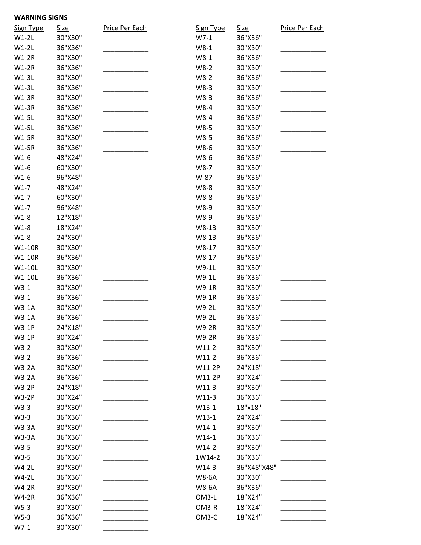| <b>Sign Type</b> | <u>Size</u>        | Price Per Each | Sign Type               | <b>Size</b>        | Price Per Each |
|------------------|--------------------|----------------|-------------------------|--------------------|----------------|
| $W1-2L$          | 30"X30"            |                | $W7-1$                  | 36"X36"            |                |
| $W1-2L$          | 36"X36"            |                | $W8-1$                  | 30"X30"            |                |
| $W1-2R$          | 30"X30"            |                | $W8-1$                  | 36"X36"            |                |
| $W1-2R$          | 36"X36"            |                | $W8-2$                  | 30"X30"            |                |
| $W1-3L$          | 30"X30"            |                | $W8-2$                  | 36"X36"            |                |
| $W1-3L$          | 36"X36"            |                | W8-3                    | 30"X30"            |                |
| $W1-3R$          | 30"X30"            |                | W8-3                    | 36"X36"            |                |
| $W1-3R$          | 36"X36"            |                | W8-4                    | 30"X30"            |                |
| $W1-5L$          | 30"X30"            |                | W8-4                    | 36"X36"            |                |
| $W1-5L$          | 36"X36"            |                | W8-5                    | 30"X30"            |                |
| <b>W1-5R</b>     | 30"X30"            |                | W8-5                    | 36"X36"            |                |
| $W1-5R$          | 36"X36"            |                | W8-6                    | 30"X30"            |                |
| $W1-6$           | 48"X24"            |                | W8-6                    | 36"X36"            |                |
| $W1-6$           | 60"X30"            |                | W8-7                    | 30"X30"            |                |
| $W1-6$           | 96"X48"            |                | W-87                    | 36"X36"            |                |
| $W1-7$           | 48"X24"            |                | W8-8                    | 30"X30"            |                |
| $W1-7$           | 60"X30"            |                | W8-8                    | 36"X36"            |                |
| $W1-7$           | 96"X48"            |                | W8-9                    | 30"X30"            |                |
| $W1-8$           | 12"X18"            |                | W8-9                    | 36"X36"            |                |
| $W1-8$           | 18"X24"            |                | W8-13                   | 30"X30"            |                |
| $W1-8$           | 24"X30"            |                | W8-13                   | 36"X36"            |                |
| W1-10R           | 30"X30"            |                | W8-17                   | 30"X30"            |                |
| W1-10R           | 36"X36"            |                | W8-17                   | 36"X36"            |                |
| W1-10L           | 30"X30"            |                | W9-1L                   | 30"X30"            |                |
| W1-10L           | 36"X36"            |                | W9-1L                   | 36"X36"            |                |
| $W3-1$           | 30"X30"            |                | W9-1R                   | 30"X30"            |                |
| $W3-1$           | 36"X36"            |                | <b>W9-1R</b>            | 36"X36"            |                |
| $W3-1A$          | 30"X30"            |                | W9-2L                   | 30"X30"            |                |
| $W3-1A$          | 36"X36"            |                | W9-2L                   | 36"X36"            |                |
| <b>W3-1P</b>     |                    |                |                         |                    |                |
| <b>W3-1P</b>     | 24"X18"<br>30"X24" |                | W9-2R                   | 30"X30"<br>36"X36" |                |
| $W3-2$           | 30"X30"            |                | <b>W9-2R</b><br>$W11-2$ | 30"X30"            |                |
|                  |                    |                |                         |                    |                |
| $W3-2$           | 36"X36"            |                | $W11-2$                 | 36"X36"            |                |
| $W3-2A$          | 30"X30"            |                | W11-2P                  | 24"X18"            |                |
| $W3-2A$          | 36"X36"            |                | W11-2P                  | 30"X24"            |                |
| <b>W3-2P</b>     | 24"X18"            |                | $W11-3$                 | 30"X30"            |                |
| <b>W3-2P</b>     | 30"X24"            |                | $W11-3$                 | 36"X36"            |                |
| $W3-3$           | 30"X30"            |                | $W13-1$                 | 18"x18"            |                |
| $W3-3$           | 36"X36"            |                | $W13-1$                 | 24"X24"            |                |
| <b>W3-3A</b>     | 30"X30"            |                | $W14-1$                 | 30"X30"            |                |
| <b>W3-3A</b>     | 36"X36"            |                | $W14-1$                 | 36"X36"            |                |
| $W3-5$           | 30"X30"            |                | $W14-2$                 | 30"X30"            |                |
| $W3-5$           | 36"X36"            |                | 1W14-2                  | 36"X36"            |                |
| $W4-2L$          | 30"X30"            |                | $W14-3$                 | 36"X48"X48"        |                |
| $W4-2L$          | 36"X36"            |                | <b>W8-6A</b>            | 30"X30"            |                |
| <b>W4-2R</b>     | 30"X30"            |                | <b>W8-6A</b>            | 36"X36"            |                |
| <b>W4-2R</b>     | 36"X36"            |                | OM3-L                   | 18"X24"            |                |
| $W5-3$           | 30"X30"            |                | OM3-R                   | 18"X24"            |                |
| $W5-3$           | 36"X36"            |                | OM3-C                   | 18"X24"            |                |
| $W7-1$           | 30"X30"            |                |                         |                    |                |

**WARNING SIGNS**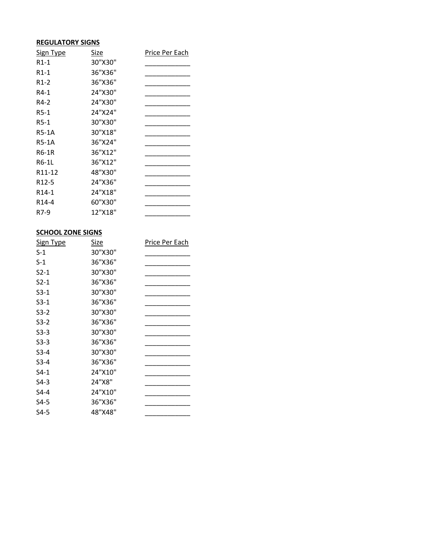## **REGULATORY SIGNS**

| <b>Sign Type</b>    | Size    | Price Per Each |
|---------------------|---------|----------------|
| R1-1                | 30"X30" |                |
| R1-1                | 36"X36" |                |
| $R1-2$              | 36"X36" |                |
| R4-1                | 24"X30" |                |
| R4-2                | 24"X30" |                |
| $R5-1$              | 24"X24" |                |
| R5-1                | 30"X30" |                |
| <b>R5-1A</b>        | 30"X18" |                |
| <b>R5-1A</b>        | 36"X24" |                |
| R6-1R               | 36"X12" |                |
| R6-1L               | 36"X12" |                |
| R <sub>11</sub> -12 | 48"X30" |                |
| R <sub>12</sub> -5  | 24"X36" |                |
| R <sub>14</sub> -1  | 24"X18" |                |
| R <sub>14</sub> -4  | 60"X30" |                |
| R7-9                | 12"X18" |                |

## **SCHOOL ZONE SIGNS**

| <b>Sign Type</b> | Size    | Price Per Each |
|------------------|---------|----------------|
| S-1              | 30"X30" |                |
| $S-1$            | 36"X36" |                |
| $S_{2-1}$        | 30"X30" |                |
| $S_{2-1}$        | 36"X36" |                |
| $S3-1$           | 30"X30" |                |
| $S3-1$           | 36"X36" |                |
| $S3-2$           | 30"X30" |                |
| $S3-2$           | 36"X36" |                |
| $S3-3$           | 30"X30" |                |
| $S3-3$           | 36"X36" |                |
| $S3-4$           | 30"X30" |                |
| $S3-4$           | 36"X36" |                |
| $S4-1$           | 24"X10" |                |
| $S4-3$           | 24"X8"  |                |
| S4-4             | 24"X10" |                |
| S4-5             | 36"X36" |                |
| S4-5             | 48"X48" |                |